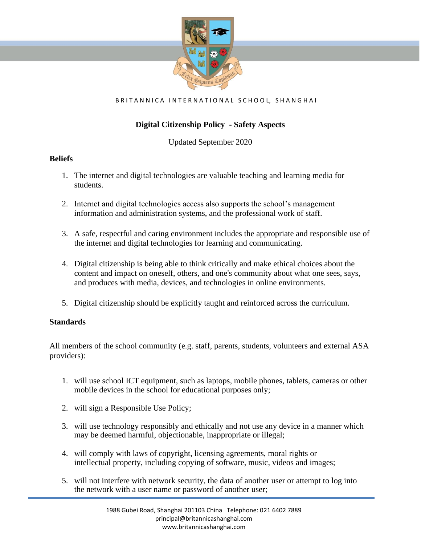

#### BRITANNICA INTERNATIONAL SCHOOL, SHANGHAI

# **Digital Citizenship Policy - Safety Aspects**

Updated September 2020

### **Beliefs**

- 1. The internet and digital technologies are valuable teaching and learning media for students.
- 2. Internet and digital technologies access also supports the school's management information and administration systems, and the professional work of staff.
- 3. A safe, respectful and caring environment includes the appropriate and responsible use of the internet and digital technologies for learning and communicating.
- 4. Digital citizenship is being able to think critically and make ethical choices about the content and impact on oneself, others, and one's community about what one sees, says, and produces with media, devices, and technologies in online environments.
- 5. Digital citizenship should be explicitly taught and reinforced across the curriculum.

## **Standards**

All members of the school community (e.g. staff, parents, students, volunteers and external ASA providers):

- 1. will use school ICT equipment, such as laptops, mobile phones, tablets, cameras or other mobile devices in the school for educational purposes only;
- 2. will sign a Responsible Use Policy;
- 3. will use technology responsibly and ethically and not use any device in a manner which may be deemed harmful, objectionable, inappropriate or illegal;
- 4. will comply with laws of copyright, licensing agreements, moral rights or intellectual property, including copying of software, music, videos and images;
- 5. will not interfere with network security, the data of another user or attempt to log into the network with a user name or password of another user;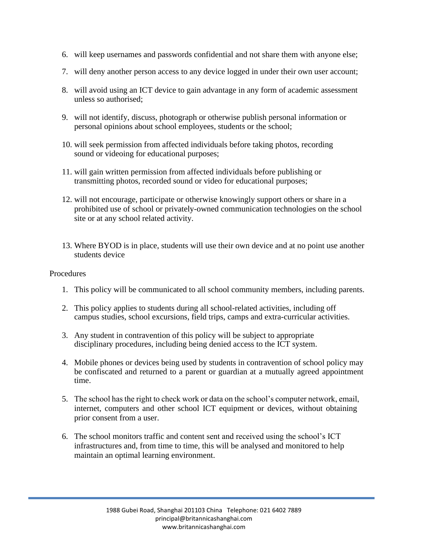- 6. will keep usernames and passwords confidential and not share them with anyone else;
- 7. will deny another person access to any device logged in under their own user account;
- 8. will avoid using an ICT device to gain advantage in any form of academic assessment unless so authorised;
- 9. will not identify, discuss, photograph or otherwise publish personal information or personal opinions about school employees, students or the school;
- 10. will seek permission from affected individuals before taking photos, recording sound or videoing for educational purposes;
- 11. will gain written permission from affected individuals before publishing or transmitting photos, recorded sound or video for educational purposes;
- 12. will not encourage, participate or otherwise knowingly support others or share in a prohibited use of school or privately-owned communication technologies on the school site or at any school related activity.
- 13. Where BYOD is in place, students will use their own device and at no point use another students device

#### **Procedures**

- 1. This policy will be communicated to all school community members, including parents.
- 2. This policy applies to students during all school-related activities, including off campus studies, school excursions, field trips, camps and extra-curricular activities.
- 3. Any student in contravention of this policy will be subject to appropriate disciplinary procedures, including being denied access to the ICT system.
- 4. Mobile phones or devices being used by students in contravention of school policy may be confiscated and returned to a parent or guardian at a mutually agreed appointment time.
- 5. The school has the right to check work or data on the school's computer network, email, internet, computers and other school ICT equipment or devices, without obtaining prior consent from a user.
- 6. The school monitors traffic and content sent and received using the school's ICT infrastructures and, from time to time, this will be analysed and monitored to help maintain an optimal learning environment.